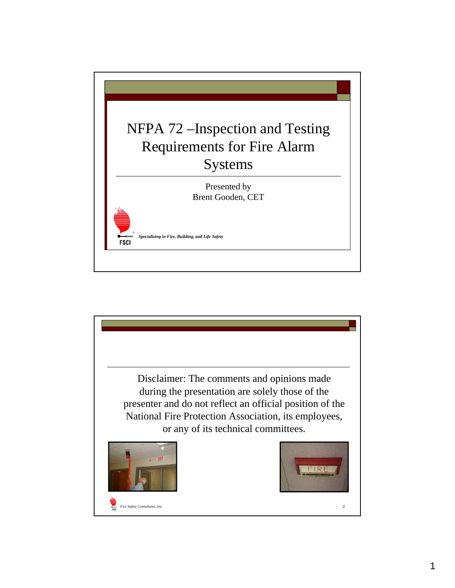

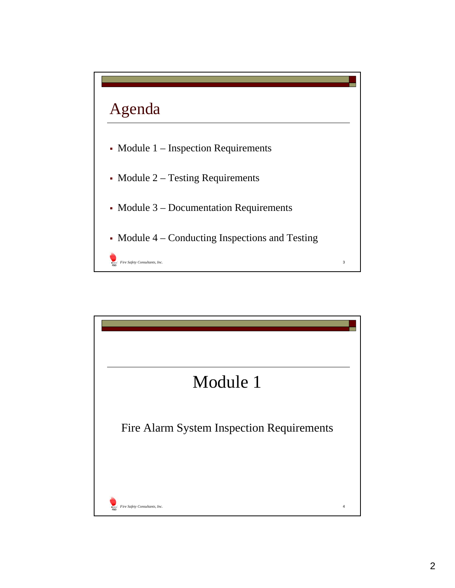

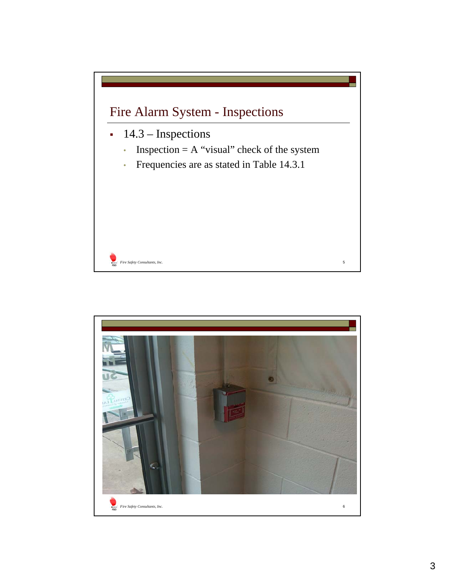

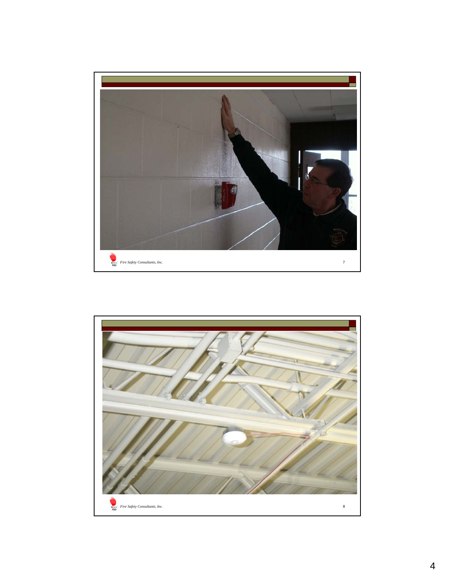

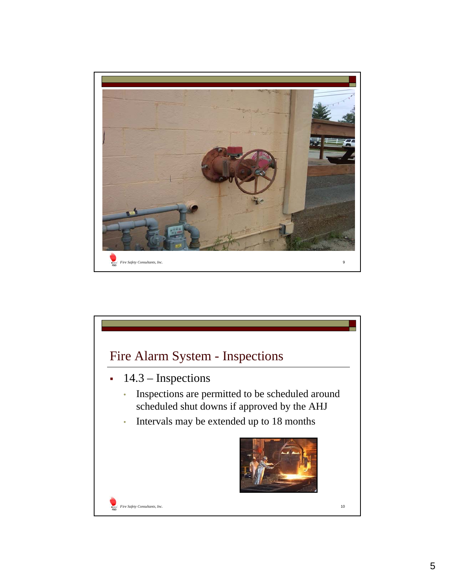

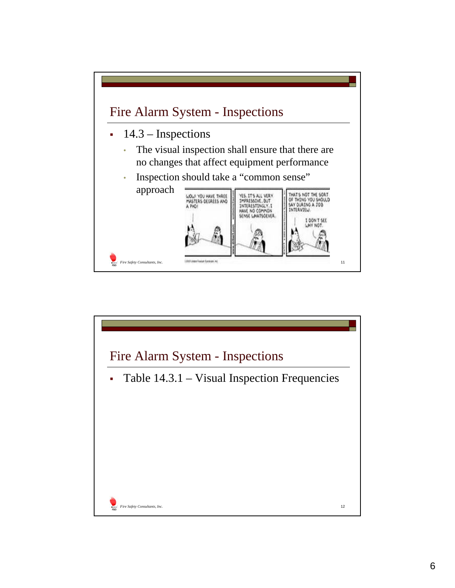

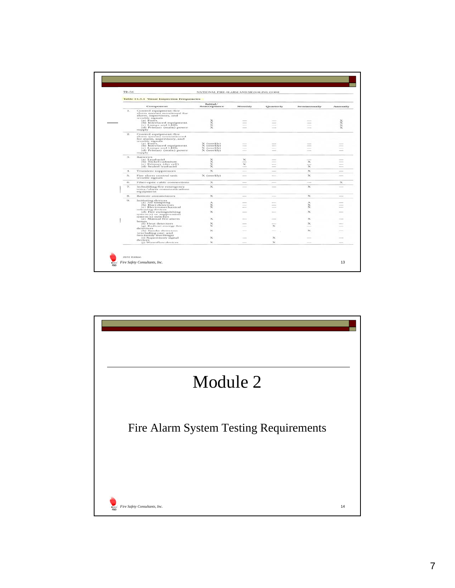|  | $72 - 06$                                                                                                                               |                                                                                                                     | NATIONAL FIRE ALARM AND SIGNALING CODE                         |            |                   |                             |           |  |  |  |
|--|-----------------------------------------------------------------------------------------------------------------------------------------|---------------------------------------------------------------------------------------------------------------------|----------------------------------------------------------------|------------|-------------------|-----------------------------|-----------|--|--|--|
|  | Table 14.5.1 Visual Inspection Frequencies<br>Initial/<br>Component<br>Reacceptance<br>Monthly<br>Quarterly<br>Semiannually<br>Ammuntly |                                                                                                                     |                                                                |            |                   |                             |           |  |  |  |
|  | 1.                                                                                                                                      | Control equipment: fire<br>alarm systems monitored for<br>alarm, supervisory, and<br>trouble signals.               |                                                                |            |                   |                             |           |  |  |  |
|  |                                                                                                                                         | (a) Fuses<br>(b) Interfaced equipment.<br>(c) Lamps and LEDs<br>(d) Primary (main) power-<br>supply                 | $X \times X \times$                                            |            |                   |                             | xxxx      |  |  |  |
|  | 2.                                                                                                                                      | Control equipment: fire<br>alarm systems unmonitored<br>for alarm, supervisory, and<br>trouble signals<br>(a) Fuses | X (weekly)                                                     |            |                   |                             |           |  |  |  |
|  |                                                                                                                                         | (b) Interfaced equipment<br>(c) Lamps and LEDs<br>(d) Primary (main) power-<br>supply                               | X (weekly)<br>$\scriptstyle\!\times$<br>(weekly)<br>N (weekly) |            |                   |                             |           |  |  |  |
|  | 74.                                                                                                                                     | Batteries<br>(a) Lead-acid.<br>(b) Nickel-cadmium.<br>(c) Primary (dry cell)<br>(d) Sealed lead-acid                | xxxx                                                           | $^{\star}$ |                   | $\mathbf{x}$<br>$\propto$   |           |  |  |  |
|  | ч.                                                                                                                                      | Transient suppressors                                                                                               | $\propto$                                                      |            |                   | $\propto$                   |           |  |  |  |
|  | 5.                                                                                                                                      | Fire alarm control unit<br>trouble signals                                                                          | X (weekly)                                                     |            |                   | $\propto$                   |           |  |  |  |
|  | G.                                                                                                                                      | Fiber-optic cable connections.                                                                                      | $\times$                                                       |            |                   |                             | $\propto$ |  |  |  |
|  | 7.                                                                                                                                      | In-building fire emergency<br>voice/alarm communications<br>equipment                                               | $\times$                                                       | -          | $\sim$            | $\propto$                   |           |  |  |  |
|  | н.                                                                                                                                      | Remote annunciators                                                                                                 | $\mathbf{x}$                                                   |            |                   | $\propto$                   |           |  |  |  |
|  | 9.                                                                                                                                      | Initiating devices<br>(a) Air sampling<br>(b) Duct detectors.                                                       | ×                                                              |            |                   | š                           |           |  |  |  |
|  |                                                                                                                                         | (c) Electromechanical<br>releasing devices.<br>(d) Fire extinguishing<br>system (s) or suppression                  | $\frac{1}{2}$<br>$\scriptstyle\mathsf{x}$                      |            |                   | $_{\times}$<br>$\mathbf{x}$ |           |  |  |  |
|  |                                                                                                                                         | system (s) switches<br>(e) Manual fire alarm<br>boxes                                                               | $\propto$                                                      |            |                   | $\propto$                   |           |  |  |  |
|  |                                                                                                                                         | (f) Heat detectors<br>(g) Radiant energy fire<br>detectors                                                          | $\sim$<br>$\mathbf x$                                          |            |                   |                             |           |  |  |  |
|  |                                                                                                                                         | (h) Smoke detectors.<br>texcluding one- and<br>two-family dwellings)                                                | $\times$                                                       |            |                   | ×                           |           |  |  |  |
|  |                                                                                                                                         | (i) Supervisory signal<br>devices                                                                                   | $\propto$                                                      |            | $\mathbf{\times}$ |                             |           |  |  |  |
|  |                                                                                                                                         | (j) Waterflow devices                                                                                               | $\mathbf{x}$                                                   |            | $\mathbb{R}$      |                             |           |  |  |  |

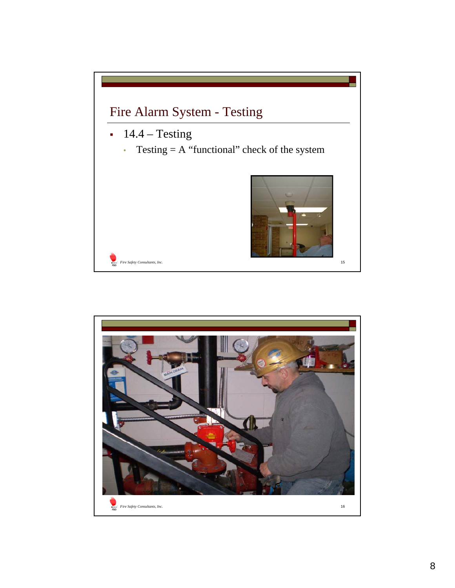

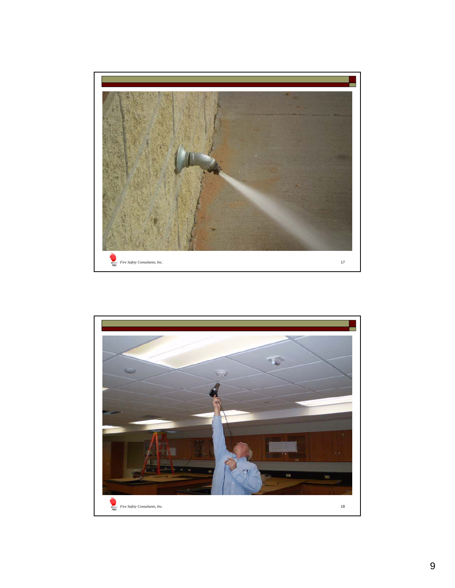

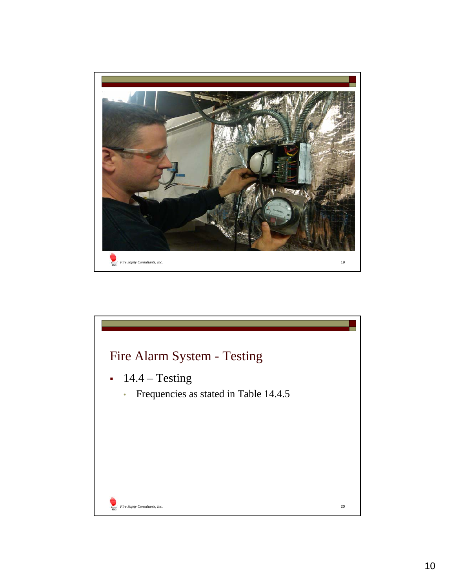

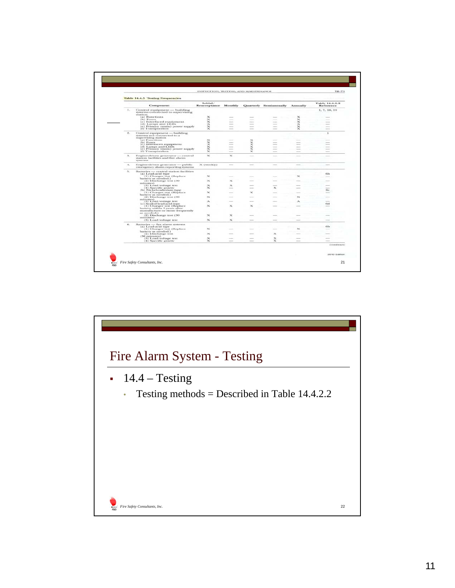| Table 14.4.5 Testing Frequencies<br>Component<br>Control equipment - building<br>systems connected to supervising<br>station<br>(a) Functions<br>(b) Fuses<br>(c) Interfaced equipment.<br>(d) Lamps and LEDs<br>(e) Primary (main) power supply<br>(f) Transponders<br>Control equipment - building<br>systems not connected to a<br>supervising station<br>(a) Functions<br>(b) Fines<br>(c) Interfaced equipment<br>(d) Lamps and LEDs<br>(e) Primary (main) power supply<br>(f) Transponders<br>Engine-driven generator - central<br>station facilities and fire alarm.<br>systems.<br>Engine-driven generator - public<br>emergency alarm reporting systems<br>Batteries - central station facilities<br>(a) Lead-acid type<br>(1) Charger test (Replace | Tritial/<br>Reacceptance.<br>x x x x x x<br>xxxxxx<br>$\infty$<br>X (weekly)                                                                                                                                                                                                                                       | Monthly<br>$\mathbf{x}$<br>$\frac{1}{2}$                                                           | xxxxxx                 | Quarterly Semiannually Annually | $\mathbf x$<br>X<br>×<br>$\overline{\mathbf{x}}$<br>$\propto$ | Table 14.4.2.2<br>Reference<br>1, 7, 18, 19<br>$\mathbf{1}$ |
|---------------------------------------------------------------------------------------------------------------------------------------------------------------------------------------------------------------------------------------------------------------------------------------------------------------------------------------------------------------------------------------------------------------------------------------------------------------------------------------------------------------------------------------------------------------------------------------------------------------------------------------------------------------------------------------------------------------------------------------------------------------|--------------------------------------------------------------------------------------------------------------------------------------------------------------------------------------------------------------------------------------------------------------------------------------------------------------------|----------------------------------------------------------------------------------------------------|------------------------|---------------------------------|---------------------------------------------------------------|-------------------------------------------------------------|
|                                                                                                                                                                                                                                                                                                                                                                                                                                                                                                                                                                                                                                                                                                                                                               |                                                                                                                                                                                                                                                                                                                    |                                                                                                    |                        |                                 |                                                               |                                                             |
|                                                                                                                                                                                                                                                                                                                                                                                                                                                                                                                                                                                                                                                                                                                                                               |                                                                                                                                                                                                                                                                                                                    |                                                                                                    |                        |                                 |                                                               |                                                             |
|                                                                                                                                                                                                                                                                                                                                                                                                                                                                                                                                                                                                                                                                                                                                                               |                                                                                                                                                                                                                                                                                                                    |                                                                                                    |                        |                                 |                                                               |                                                             |
|                                                                                                                                                                                                                                                                                                                                                                                                                                                                                                                                                                                                                                                                                                                                                               |                                                                                                                                                                                                                                                                                                                    |                                                                                                    |                        |                                 |                                                               |                                                             |
|                                                                                                                                                                                                                                                                                                                                                                                                                                                                                                                                                                                                                                                                                                                                                               |                                                                                                                                                                                                                                                                                                                    |                                                                                                    |                        |                                 |                                                               |                                                             |
|                                                                                                                                                                                                                                                                                                                                                                                                                                                                                                                                                                                                                                                                                                                                                               |                                                                                                                                                                                                                                                                                                                    |                                                                                                    |                        |                                 |                                                               |                                                             |
|                                                                                                                                                                                                                                                                                                                                                                                                                                                                                                                                                                                                                                                                                                                                                               |                                                                                                                                                                                                                                                                                                                    |                                                                                                    |                        |                                 |                                                               |                                                             |
|                                                                                                                                                                                                                                                                                                                                                                                                                                                                                                                                                                                                                                                                                                                                                               |                                                                                                                                                                                                                                                                                                                    |                                                                                                    |                        |                                 |                                                               |                                                             |
|                                                                                                                                                                                                                                                                                                                                                                                                                                                                                                                                                                                                                                                                                                                                                               |                                                                                                                                                                                                                                                                                                                    |                                                                                                    |                        |                                 |                                                               |                                                             |
|                                                                                                                                                                                                                                                                                                                                                                                                                                                                                                                                                                                                                                                                                                                                                               |                                                                                                                                                                                                                                                                                                                    |                                                                                                    |                        |                                 |                                                               |                                                             |
|                                                                                                                                                                                                                                                                                                                                                                                                                                                                                                                                                                                                                                                                                                                                                               |                                                                                                                                                                                                                                                                                                                    |                                                                                                    |                        |                                 |                                                               |                                                             |
|                                                                                                                                                                                                                                                                                                                                                                                                                                                                                                                                                                                                                                                                                                                                                               |                                                                                                                                                                                                                                                                                                                    |                                                                                                    |                        |                                 |                                                               |                                                             |
|                                                                                                                                                                                                                                                                                                                                                                                                                                                                                                                                                                                                                                                                                                                                                               |                                                                                                                                                                                                                                                                                                                    |                                                                                                    |                        |                                 |                                                               |                                                             |
|                                                                                                                                                                                                                                                                                                                                                                                                                                                                                                                                                                                                                                                                                                                                                               |                                                                                                                                                                                                                                                                                                                    |                                                                                                    |                        |                                 |                                                               |                                                             |
|                                                                                                                                                                                                                                                                                                                                                                                                                                                                                                                                                                                                                                                                                                                                                               |                                                                                                                                                                                                                                                                                                                    |                                                                                                    |                        |                                 |                                                               |                                                             |
|                                                                                                                                                                                                                                                                                                                                                                                                                                                                                                                                                                                                                                                                                                                                                               |                                                                                                                                                                                                                                                                                                                    |                                                                                                    |                        |                                 |                                                               |                                                             |
|                                                                                                                                                                                                                                                                                                                                                                                                                                                                                                                                                                                                                                                                                                                                                               |                                                                                                                                                                                                                                                                                                                    |                                                                                                    | <b>START</b>           |                                 | --                                                            |                                                             |
|                                                                                                                                                                                                                                                                                                                                                                                                                                                                                                                                                                                                                                                                                                                                                               |                                                                                                                                                                                                                                                                                                                    |                                                                                                    |                        |                                 |                                                               |                                                             |
|                                                                                                                                                                                                                                                                                                                                                                                                                                                                                                                                                                                                                                                                                                                                                               | $\mathbf{x}$                                                                                                                                                                                                                                                                                                       |                                                                                                    |                        |                                 | $\mathbf{x}$                                                  | Ghs.                                                        |
| battery as needed.)                                                                                                                                                                                                                                                                                                                                                                                                                                                                                                                                                                                                                                                                                                                                           |                                                                                                                                                                                                                                                                                                                    |                                                                                                    |                        |                                 |                                                               |                                                             |
| (2) Discharge test (30                                                                                                                                                                                                                                                                                                                                                                                                                                                                                                                                                                                                                                                                                                                                        | $\mathbf{x}$                                                                                                                                                                                                                                                                                                       | $\propto$                                                                                          |                        |                                 |                                                               |                                                             |
| (estuaine<br>(3) Load voltage test                                                                                                                                                                                                                                                                                                                                                                                                                                                                                                                                                                                                                                                                                                                            | $\propto$                                                                                                                                                                                                                                                                                                          | $\propto$                                                                                          |                        |                                 |                                                               |                                                             |
| (4) Specific gravity                                                                                                                                                                                                                                                                                                                                                                                                                                                                                                                                                                                                                                                                                                                                          | $\mathbf{x}$                                                                                                                                                                                                                                                                                                       |                                                                                                    |                        | $\boldsymbol{\times}$           |                                                               |                                                             |
| (b) Nickel-cadmium type                                                                                                                                                                                                                                                                                                                                                                                                                                                                                                                                                                                                                                                                                                                                       |                                                                                                                                                                                                                                                                                                                    |                                                                                                    |                        |                                 |                                                               | <b>ESC</b>                                                  |
| (1) Charger test (Replace                                                                                                                                                                                                                                                                                                                                                                                                                                                                                                                                                                                                                                                                                                                                     | $\mathbf{x}$                                                                                                                                                                                                                                                                                                       |                                                                                                    |                        |                                 |                                                               |                                                             |
| battery as needed.)                                                                                                                                                                                                                                                                                                                                                                                                                                                                                                                                                                                                                                                                                                                                           |                                                                                                                                                                                                                                                                                                                    |                                                                                                    |                        |                                 |                                                               |                                                             |
| (2) Discharge test (30)<br>minutes)                                                                                                                                                                                                                                                                                                                                                                                                                                                                                                                                                                                                                                                                                                                           | $\mathbf x$                                                                                                                                                                                                                                                                                                        |                                                                                                    |                        |                                 | $\propto$                                                     |                                                             |
| (3) Load voltage test                                                                                                                                                                                                                                                                                                                                                                                                                                                                                                                                                                                                                                                                                                                                         | $\infty$                                                                                                                                                                                                                                                                                                           | $\sim$                                                                                             |                        |                                 | $\times$                                                      |                                                             |
|                                                                                                                                                                                                                                                                                                                                                                                                                                                                                                                                                                                                                                                                                                                                                               |                                                                                                                                                                                                                                                                                                                    |                                                                                                    |                        |                                 |                                                               | Get                                                         |
|                                                                                                                                                                                                                                                                                                                                                                                                                                                                                                                                                                                                                                                                                                                                                               |                                                                                                                                                                                                                                                                                                                    |                                                                                                    |                        |                                 |                                                               |                                                             |
| manufacture or more frequently                                                                                                                                                                                                                                                                                                                                                                                                                                                                                                                                                                                                                                                                                                                                |                                                                                                                                                                                                                                                                                                                    |                                                                                                    |                        |                                 |                                                               |                                                             |
|                                                                                                                                                                                                                                                                                                                                                                                                                                                                                                                                                                                                                                                                                                                                                               |                                                                                                                                                                                                                                                                                                                    | $\mathbf{x}$                                                                                       |                        |                                 |                                                               |                                                             |
| minutes)                                                                                                                                                                                                                                                                                                                                                                                                                                                                                                                                                                                                                                                                                                                                                      |                                                                                                                                                                                                                                                                                                                    |                                                                                                    |                        |                                 |                                                               |                                                             |
|                                                                                                                                                                                                                                                                                                                                                                                                                                                                                                                                                                                                                                                                                                                                                               |                                                                                                                                                                                                                                                                                                                    |                                                                                                    |                        |                                 |                                                               |                                                             |
|                                                                                                                                                                                                                                                                                                                                                                                                                                                                                                                                                                                                                                                                                                                                                               |                                                                                                                                                                                                                                                                                                                    |                                                                                                    |                        |                                 |                                                               | Gb                                                          |
|                                                                                                                                                                                                                                                                                                                                                                                                                                                                                                                                                                                                                                                                                                                                                               |                                                                                                                                                                                                                                                                                                                    |                                                                                                    |                        |                                 | $^{\rm \times}$                                               |                                                             |
| battery as needed.)                                                                                                                                                                                                                                                                                                                                                                                                                                                                                                                                                                                                                                                                                                                                           |                                                                                                                                                                                                                                                                                                                    |                                                                                                    |                        |                                 |                                                               |                                                             |
| (2) Discharge test                                                                                                                                                                                                                                                                                                                                                                                                                                                                                                                                                                                                                                                                                                                                            | $\mathbf{x}$                                                                                                                                                                                                                                                                                                       |                                                                                                    |                        | $\boldsymbol{\times}$           |                                                               |                                                             |
|                                                                                                                                                                                                                                                                                                                                                                                                                                                                                                                                                                                                                                                                                                                                                               |                                                                                                                                                                                                                                                                                                                    |                                                                                                    |                        |                                 |                                                               |                                                             |
|                                                                                                                                                                                                                                                                                                                                                                                                                                                                                                                                                                                                                                                                                                                                                               |                                                                                                                                                                                                                                                                                                                    |                                                                                                    |                        |                                 |                                                               |                                                             |
|                                                                                                                                                                                                                                                                                                                                                                                                                                                                                                                                                                                                                                                                                                                                                               |                                                                                                                                                                                                                                                                                                                    |                                                                                                    |                        |                                 |                                                               | (continues):                                                |
|                                                                                                                                                                                                                                                                                                                                                                                                                                                                                                                                                                                                                                                                                                                                                               | (c) Sealed lead-acid type<br>(1) Charger test (Replace<br>battery within 5 years after-<br>as needed.)<br>(2) Discharge test (30)<br>(3) Load voltage test<br>Batteries --- fire alarm systems<br>(a) Lead-acid type<br>(1) Charger test (Replace<br>(30 minutes)<br>(3) Load voltage test<br>(4) Specific gravity | $\mathbf{x}$<br>$\boldsymbol{\mathrm{x}}$<br>$\mathbf x$<br>$\boldsymbol{\times}$<br>$\frac{x}{x}$ | $\propto$<br>$\propto$ | $\mathbf{x}$                    | $\boldsymbol{\times}$<br>$\propto$                            |                                                             |

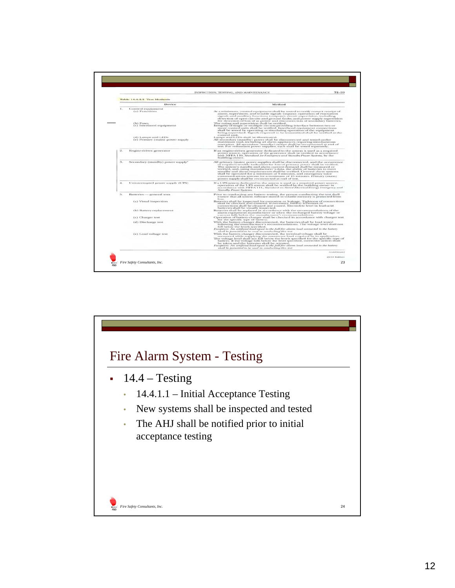

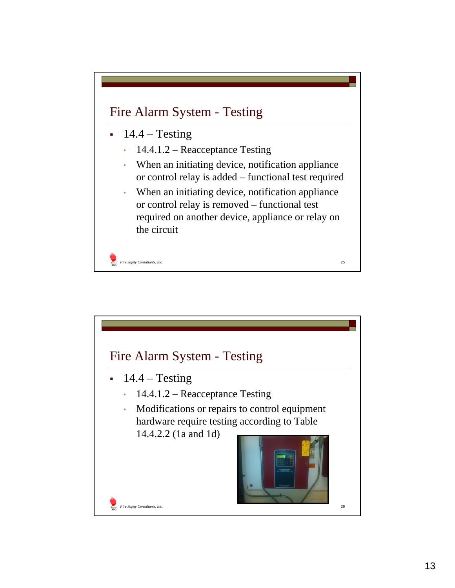## Fire Alarm System - Testing

- 14.4 Testing
	- $\cdot$  14.4.1.2 Reacceptance Testing
	- When an initiating device, notification appliance or control relay is added – functional test required
	- When an initiating device, notification appliance or control relay is removed – functional test required on another device, appliance or relay on the circuit

*Fire Safety Consultants, Inc.* 25

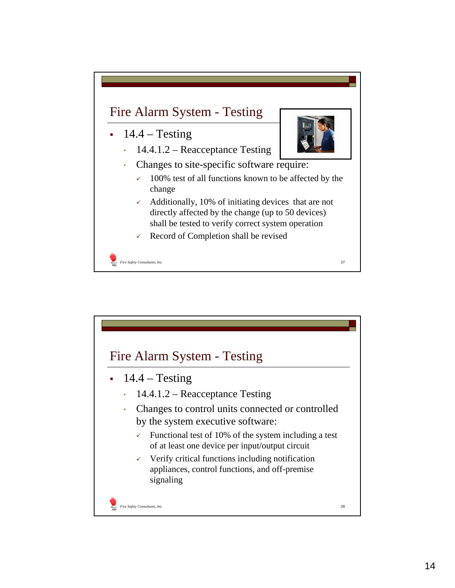## Fire Alarm System - Testing

- 14.4 Testing
	- $\cdot$  14.4.1.2 Reacceptance Testing
	- Changes to site-specific software require:
		- $\sim$  100% test of all functions known to be affected by the change
		- $\sim$  Additionally, 10% of initiating devices that are not directly affected by the change (up to 50 devices) shall be tested to verify correct system operation
		- $\checkmark$  Record of Completion shall be revised

*Fire Safety Consultants, Inc.* 27

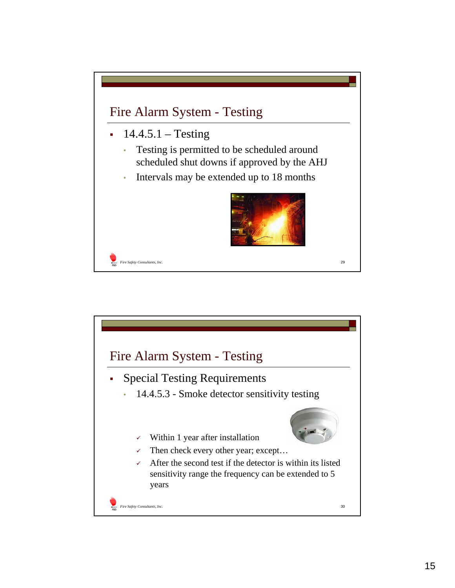

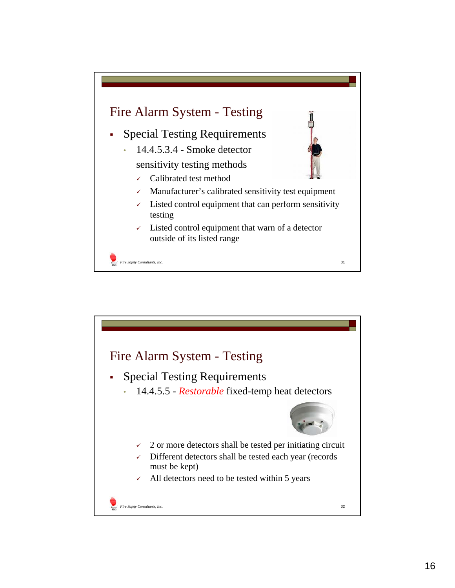

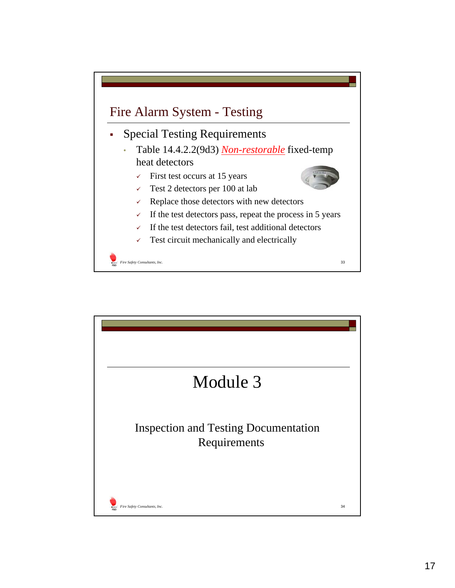

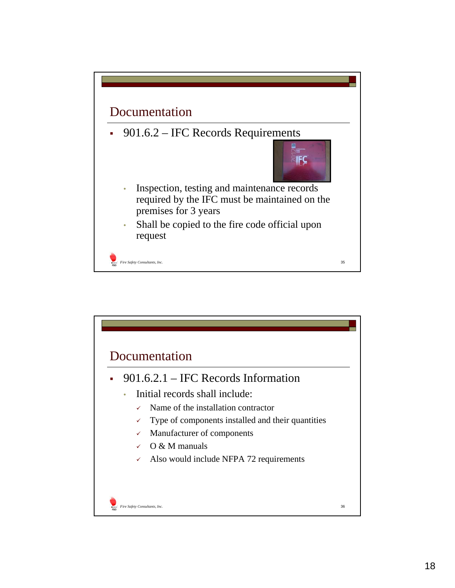

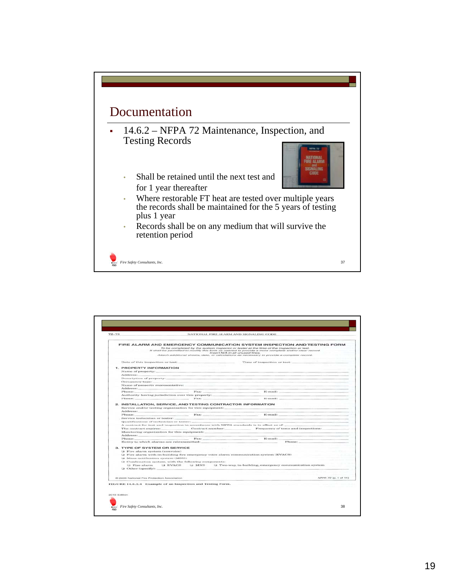

| $72 - 78$                                   |                                                                                         | NATIONAL FIRE ALARM AND SIGNALING CODE                                                                                                                                                                                                                                                                                           |
|---------------------------------------------|-----------------------------------------------------------------------------------------|----------------------------------------------------------------------------------------------------------------------------------------------------------------------------------------------------------------------------------------------------------------------------------------------------------------------------------|
|                                             |                                                                                         | FIRE ALARM AND EMERGENCY COMMUNICATION SYSTEM INSPECTION AND TESTING FORM                                                                                                                                                                                                                                                        |
|                                             |                                                                                         | To be completed by the system inspector or tester at the time of the inspection or test.<br>It shall be permitted to modify this form as needed to provide a more complete and/or clear record.<br>Insert N/A in all unused lines.<br>Attach additional sheets, data, or calculations as necessary to provide a complete record. |
| Date of this inspection or test:            |                                                                                         | Time of inspection or test:                                                                                                                                                                                                                                                                                                      |
| 1. PROPERTY INFORMATION                     |                                                                                         |                                                                                                                                                                                                                                                                                                                                  |
| Name of property:                           |                                                                                         |                                                                                                                                                                                                                                                                                                                                  |
| Address:                                    |                                                                                         |                                                                                                                                                                                                                                                                                                                                  |
| Description of property:                    |                                                                                         |                                                                                                                                                                                                                                                                                                                                  |
| Occupancy type:                             |                                                                                         |                                                                                                                                                                                                                                                                                                                                  |
| Name of property representative:            |                                                                                         |                                                                                                                                                                                                                                                                                                                                  |
| Address:                                    |                                                                                         |                                                                                                                                                                                                                                                                                                                                  |
| Phone:                                      | $P_{PXX}$                                                                               | E-mail:                                                                                                                                                                                                                                                                                                                          |
|                                             | Authority having jurisdiction over this property:                                       |                                                                                                                                                                                                                                                                                                                                  |
| Phone:                                      | Past:                                                                                   | Hiermath:                                                                                                                                                                                                                                                                                                                        |
|                                             | 2. INSTALLATION, SERVICE, AND TESTING CONTRACTOR INFORMATION                            |                                                                                                                                                                                                                                                                                                                                  |
|                                             | Service and/or testing organization for this equipment:                                 |                                                                                                                                                                                                                                                                                                                                  |
| Address:                                    |                                                                                         |                                                                                                                                                                                                                                                                                                                                  |
| Phone:                                      |                                                                                         | Fax: E-mail:                                                                                                                                                                                                                                                                                                                     |
| Service technician or tester:               |                                                                                         |                                                                                                                                                                                                                                                                                                                                  |
| Qualifications of technician or tester:     |                                                                                         |                                                                                                                                                                                                                                                                                                                                  |
|                                             | A contract for test and impection in accordance with NFPA standards is in effect as of: |                                                                                                                                                                                                                                                                                                                                  |
|                                             |                                                                                         | The contract expires: Contract number: Frequency of tests and inspections:                                                                                                                                                                                                                                                       |
|                                             | Monitoring organization for this equipment:                                             |                                                                                                                                                                                                                                                                                                                                  |
| Address:                                    |                                                                                         |                                                                                                                                                                                                                                                                                                                                  |
| Phone:                                      | Fax:                                                                                    | and the season of the contract of the<br>E-mail:                                                                                                                                                                                                                                                                                 |
|                                             | Entity to which alarms are retransmitted:                                               | Phone:                                                                                                                                                                                                                                                                                                                           |
|                                             |                                                                                         |                                                                                                                                                                                                                                                                                                                                  |
| 3. TYPE OF SYSTEM OR SERVICE                |                                                                                         |                                                                                                                                                                                                                                                                                                                                  |
| <b>Q</b> Fire alarm system (nonvoice)       |                                                                                         |                                                                                                                                                                                                                                                                                                                                  |
|                                             |                                                                                         | Q Fire alarm with in-building fire emergency voice alarm communication system (EVACS)                                                                                                                                                                                                                                            |
| <b>G</b> Mass notification system (MNS)     |                                                                                         |                                                                                                                                                                                                                                                                                                                                  |
| <b>D</b> Fire alarm                         | Q Combination system, with the following components:<br><b>O EVACS</b><br><b>Q MNS</b>  | <sup>[2]</sup> Two-way, in-building, emergency communication system-                                                                                                                                                                                                                                                             |
| a Other (specify):                          |                                                                                         |                                                                                                                                                                                                                                                                                                                                  |
|                                             |                                                                                         |                                                                                                                                                                                                                                                                                                                                  |
|                                             |                                                                                         |                                                                                                                                                                                                                                                                                                                                  |
| @ 2000 National Fire Protection Association |                                                                                         | <b>NFFM 72 (p. 1 of 11)</b>                                                                                                                                                                                                                                                                                                      |
|                                             | FIGURE 14.6.2.4 Example of an Inspection and Testing Form.                              |                                                                                                                                                                                                                                                                                                                                  |
|                                             |                                                                                         |                                                                                                                                                                                                                                                                                                                                  |
|                                             |                                                                                         |                                                                                                                                                                                                                                                                                                                                  |
| <b>2010 Edition</b>                         |                                                                                         |                                                                                                                                                                                                                                                                                                                                  |
|                                             |                                                                                         |                                                                                                                                                                                                                                                                                                                                  |
|                                             |                                                                                         |                                                                                                                                                                                                                                                                                                                                  |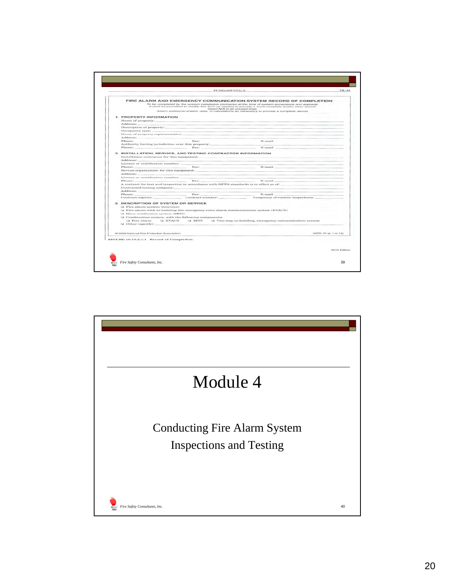

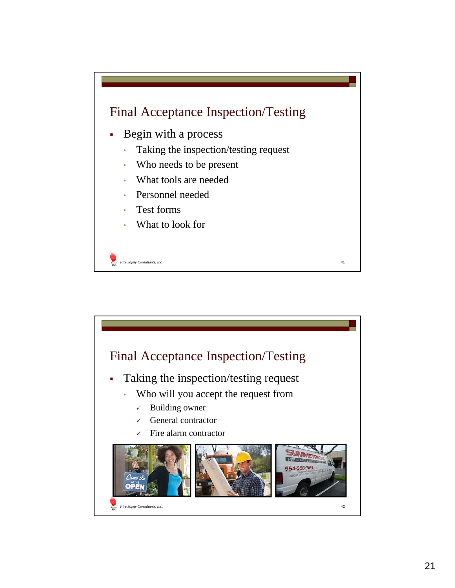

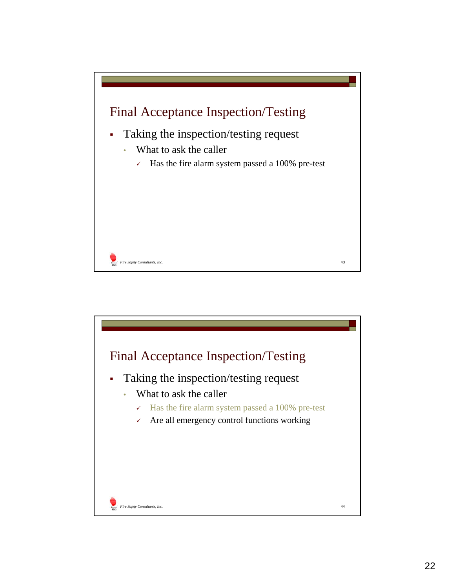

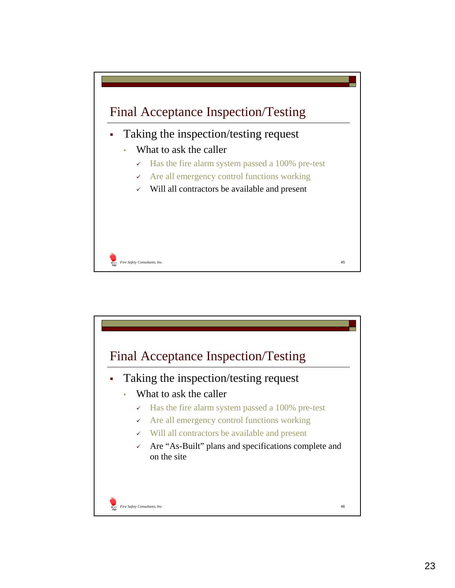

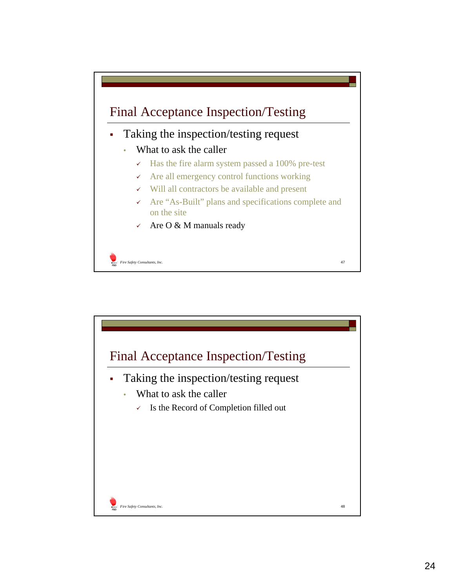

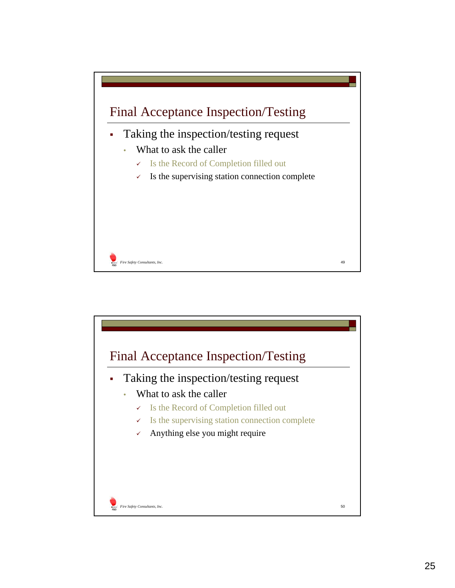

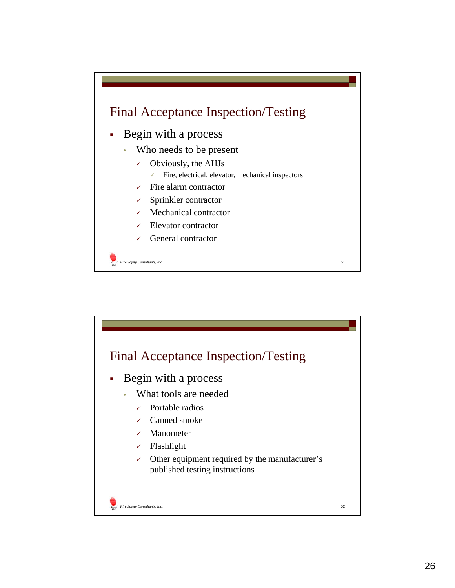

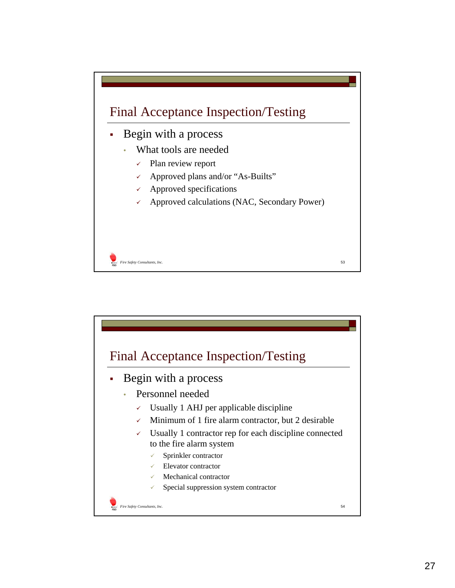

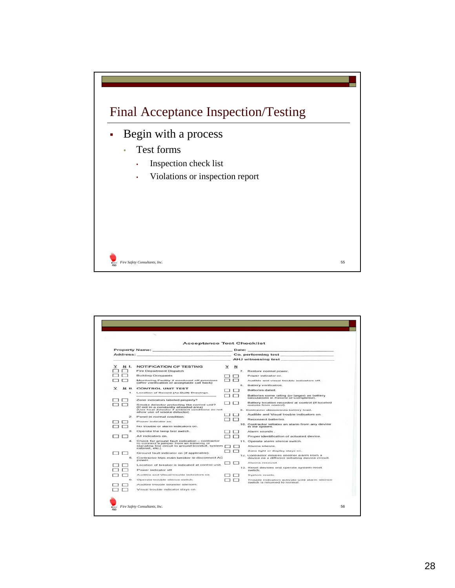

|   |           | <b>Acceptance Test Checklist</b>                                                               |              |                         |    |                                                                                                                |
|---|-----------|------------------------------------------------------------------------------------------------|--------------|-------------------------|----|----------------------------------------------------------------------------------------------------------------|
|   |           | <b>Property Name:</b> Property Name:                                                           |              |                         |    | Date: New York Street, Street, Street, Street, Street, Street, Street, Street, Street, Street, Street, Street, |
|   | Address:  |                                                                                                |              |                         |    | <b>Co. performing test research and contract the Co. performing test</b>                                       |
|   |           |                                                                                                |              |                         |    |                                                                                                                |
|   | N 1.      | <b>NOTIFICATION OF TESTING</b>                                                                 | $\mathbf{x}$ | $\overline{\mathbf{M}}$ |    |                                                                                                                |
|   |           | <b>Fire Department Dispatch</b>                                                                |              |                         |    | 7. Restore normal power.                                                                                       |
|   |           | <b>Building Occupants</b>                                                                      |              |                         |    | Power indicator on.                                                                                            |
|   |           | Monitoring Facility if monitored off-premises                                                  |              |                         |    | Audible and visual trouble indicators off.                                                                     |
|   |           | (after verification of acceptable call back)                                                   |              |                         | 8. | Battery verification.                                                                                          |
| Y |           | N II. CONTROL UNIT TEST                                                                        |              |                         |    | Batteries dated.                                                                                               |
|   | <b>T.</b> | Location of Record (As-Built) Drawings.                                                        |              |                         |    |                                                                                                                |
|   |           | Zone indicators labeled properly?                                                              |              |                         |    | Batteries same rating (or larger) as battery<br>calculations in Record of Completion.                          |
|   |           | Smoke detector protecting the control unit?                                                    |              |                         |    | Battery location recorded at control (if located                                                               |
|   |           | (If not in a constantly attended area)<br>(Use heat detector if ambient conditions do not      |              |                         |    | remote from control).                                                                                          |
|   |           | allow use of smoke detector)                                                                   |              |                         |    | 9. Contractor disconnects battery lead.                                                                        |
|   | 2.        | Panel in normal condition.                                                                     |              |                         |    | Audible and Visual trouble indicators on.                                                                      |
|   |           | Power indicator on.                                                                            |              |                         |    | Reconnect batteries.                                                                                           |
|   |           | No trouble or alarm indicators on.                                                             |              |                         |    | 10. Contractor initiates an alarm from any device<br>in the system.                                            |
|   | з.        | Operate the lamp test switch.                                                                  |              |                         |    | Alarm sounds.                                                                                                  |
|   |           | All indicators on.                                                                             |              |                         |    | Proper identification of actuated device.                                                                      |
|   |           | Check for ground fault indication - contractor                                                 |              |                         |    | 11. Operate alarm silence switch.                                                                              |
|   |           | to connect a jumper from an initiating or<br>signaling line circuit to ground [conduit, system |              |                         |    | Alarms silence.                                                                                                |
|   |           | cabinet, etc.).                                                                                |              |                         |    | Zone light or display stays on.                                                                                |
|   | Б.        | Ground fault indicator on (if applicable).                                                     |              |                         |    | 12. Contractor initiates another alarm from a                                                                  |
|   |           | Contractor trips main breaker to disconnect AC<br>DOWer.                                       |              |                         |    | device on a different initiating device circuit.                                                               |
|   |           | Location of breaker is indicated at control unit.                                              |              | JГ                      |    | Alarms resound.                                                                                                |
|   |           | Power indicator off.                                                                           |              |                         |    | 13. Reset devices and operate system reset<br>switch.                                                          |
|   |           | Audible and Visual trouble indicators on.                                                      |              |                         |    | System resets.                                                                                                 |
|   | ех.       | Operate trouble silence switch.                                                                |              |                         |    | Trouble indicators activate until alarm silence                                                                |
|   |           | Audible trouble sounder silences.                                                              |              |                         |    | switch is returned to normal.                                                                                  |
|   |           | Visual trouble indicator stays on.                                                             |              |                         |    |                                                                                                                |
|   |           |                                                                                                |              |                         |    |                                                                                                                |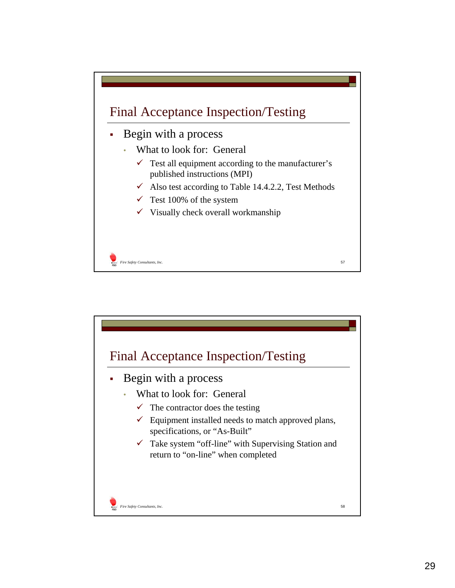

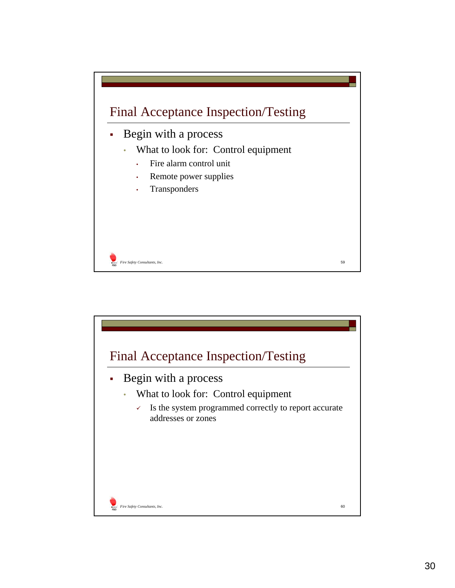

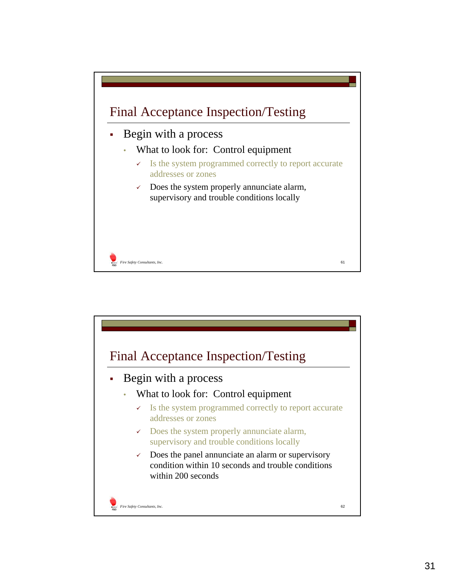

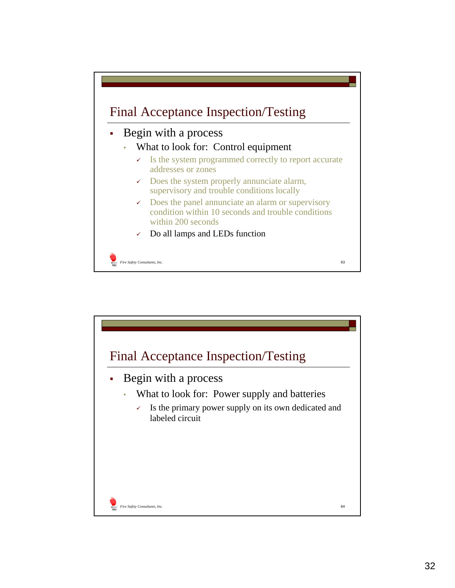

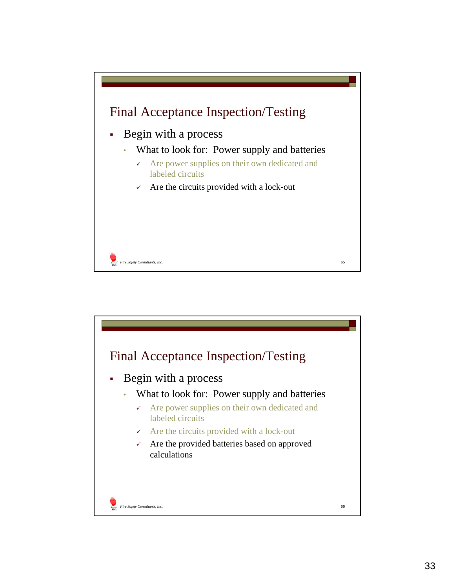

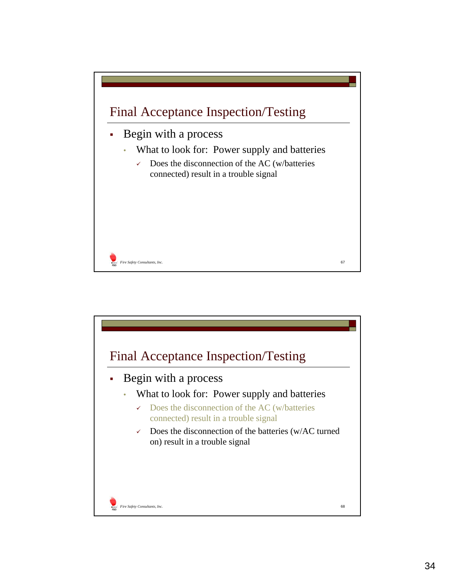

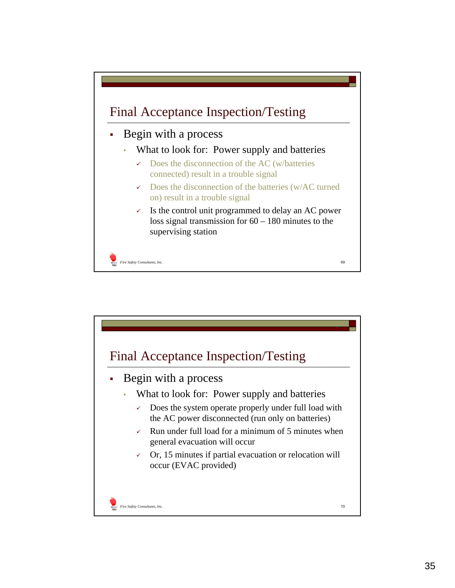

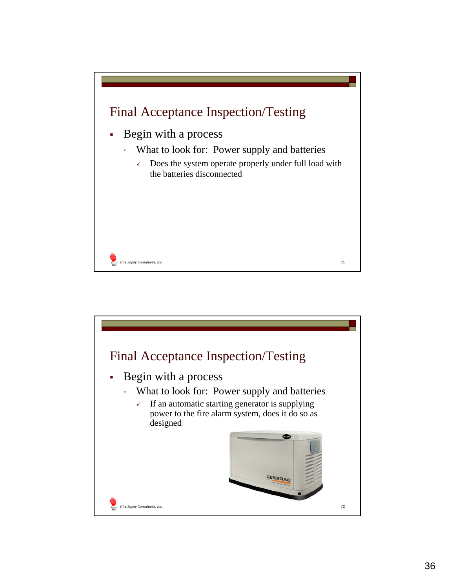

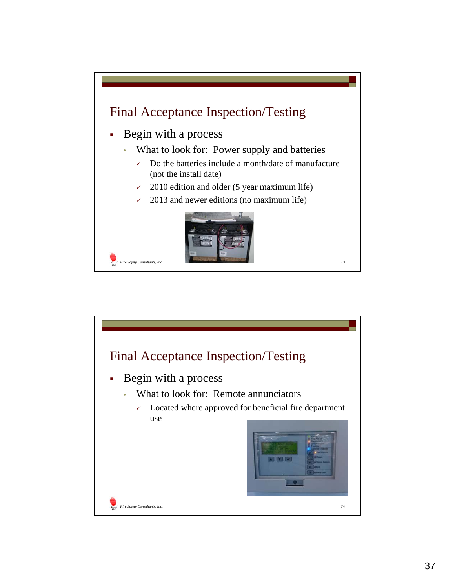

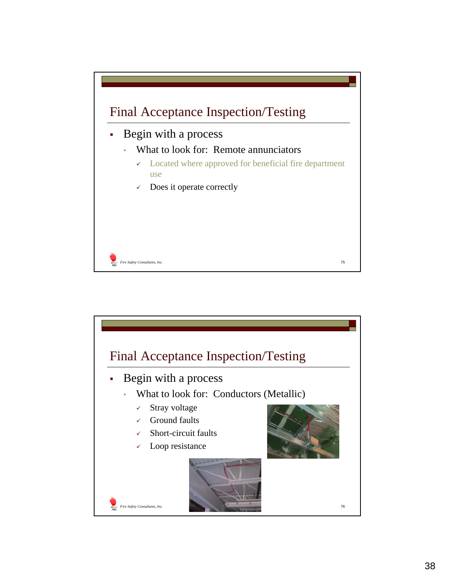

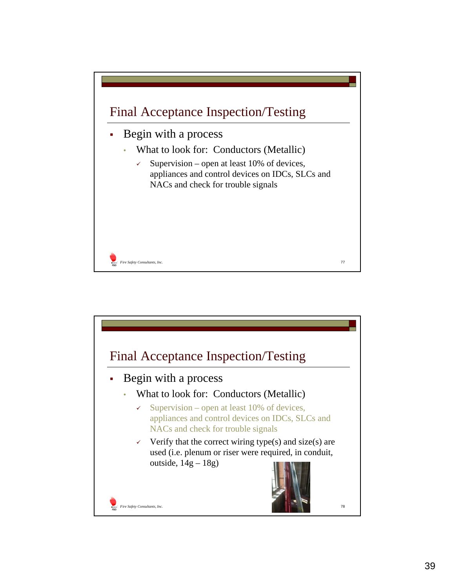

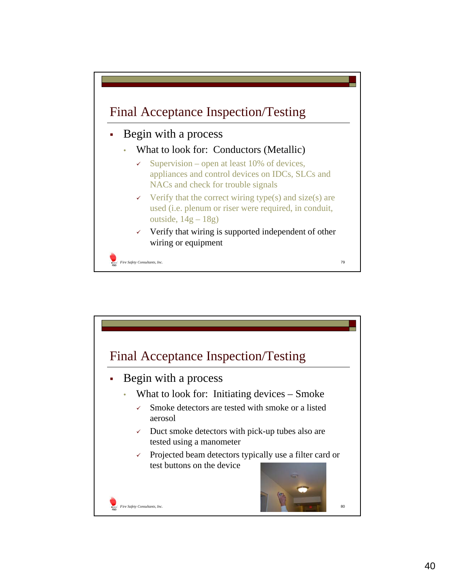

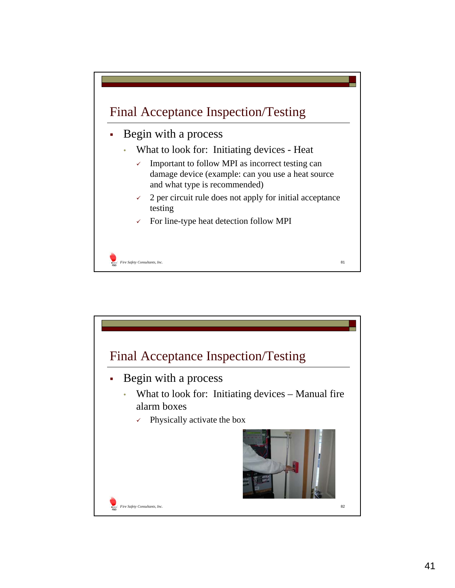

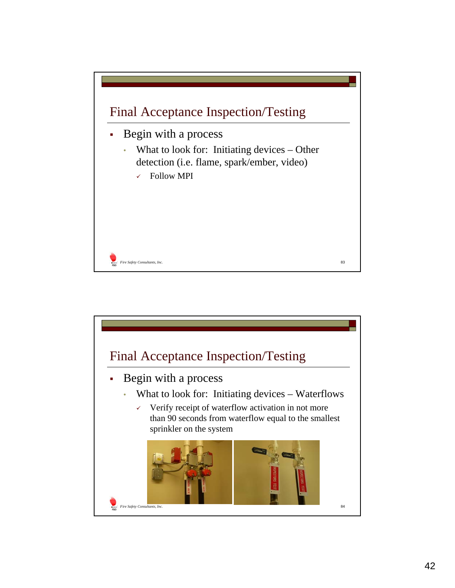

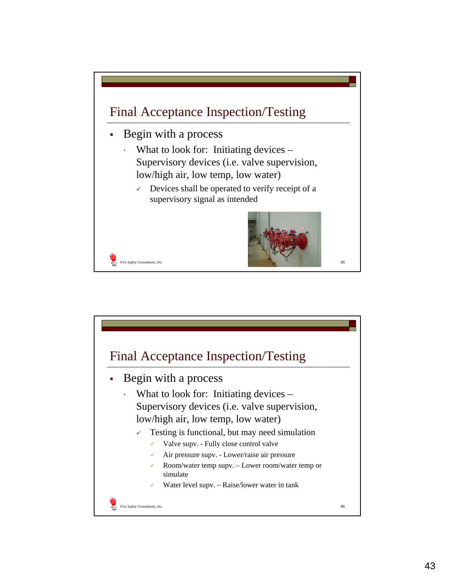

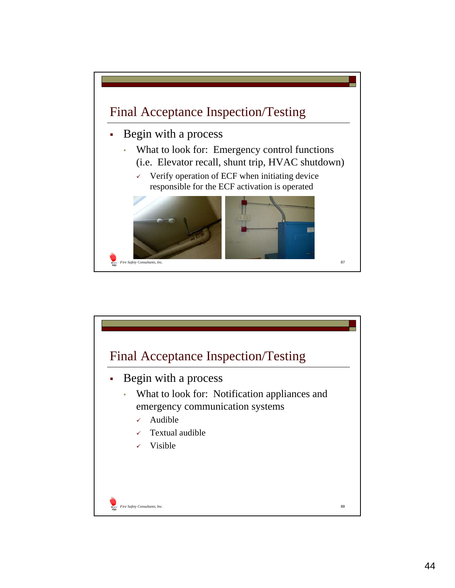

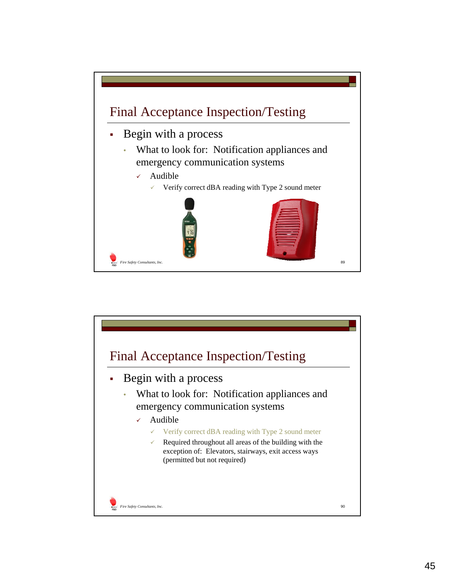

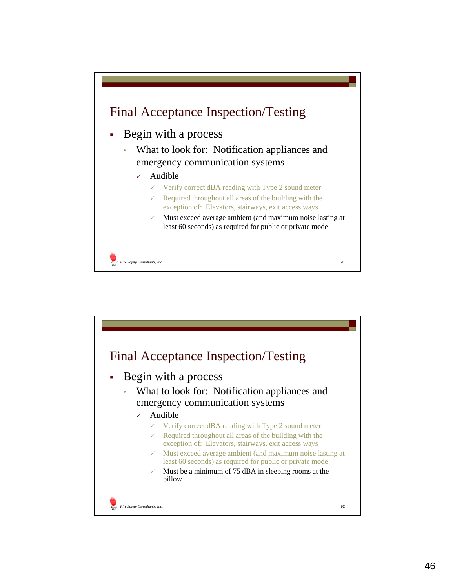

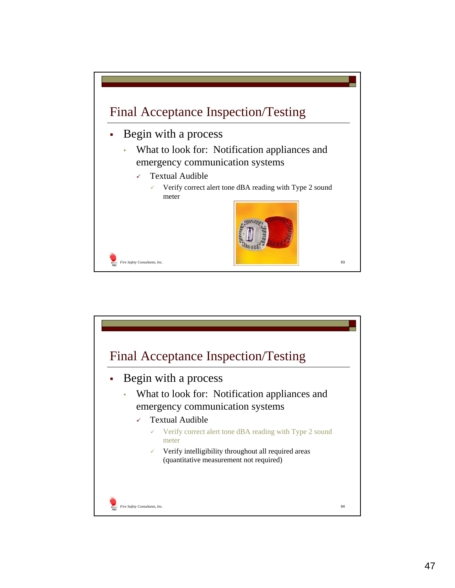

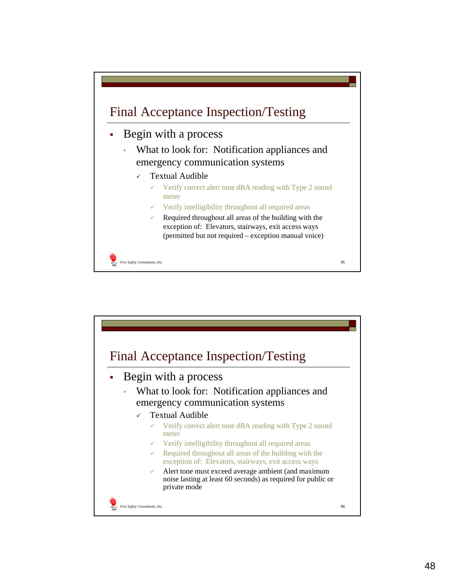

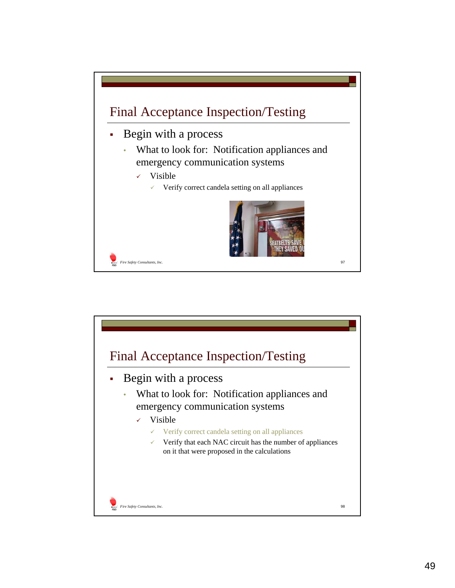

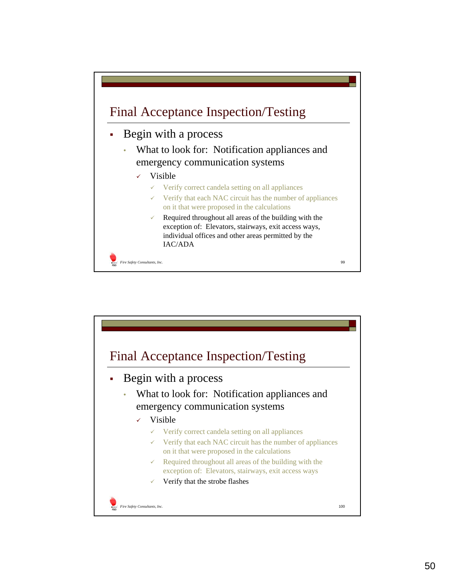

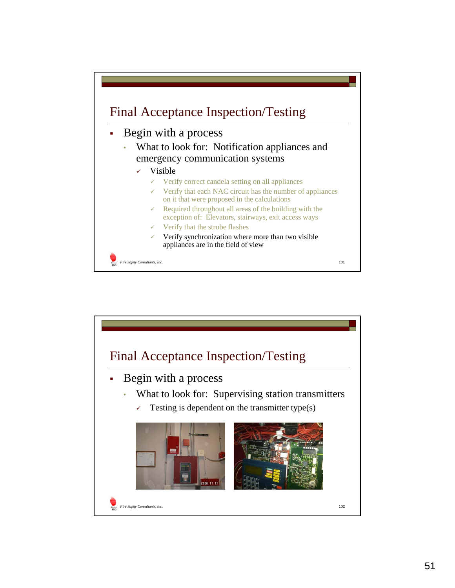

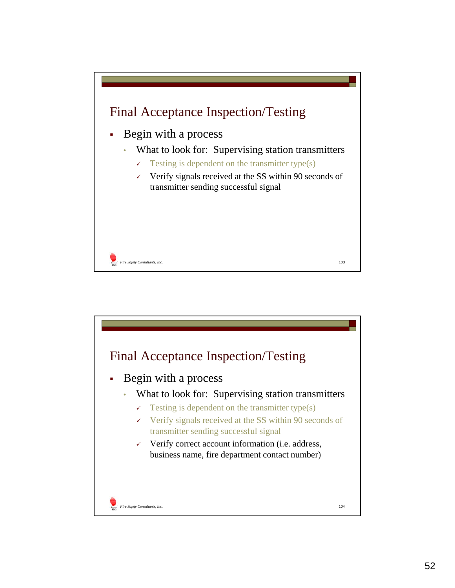

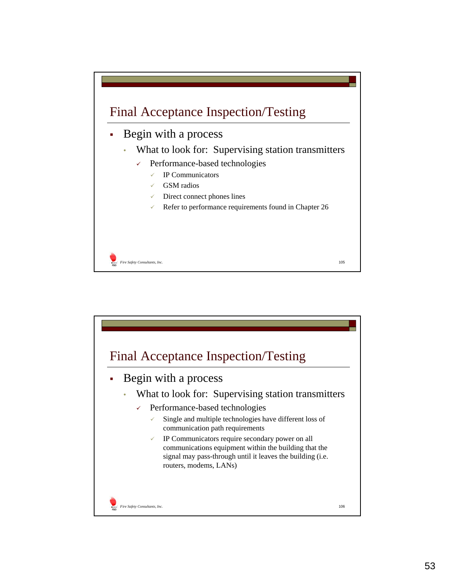

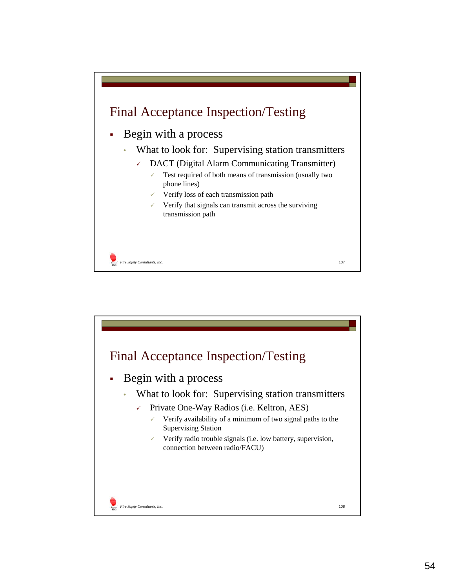

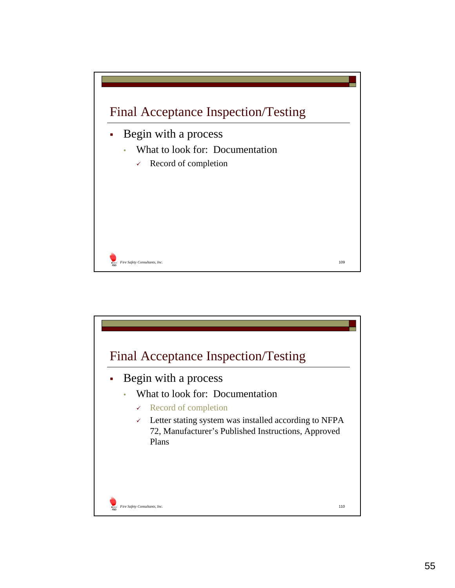

![](_page_54_Figure_1.jpeg)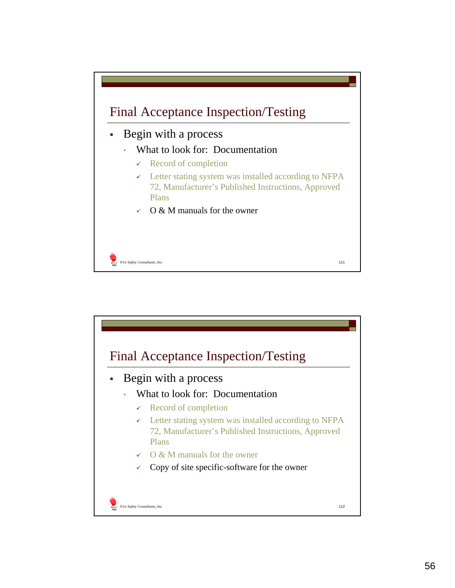![](_page_55_Figure_0.jpeg)

![](_page_55_Figure_1.jpeg)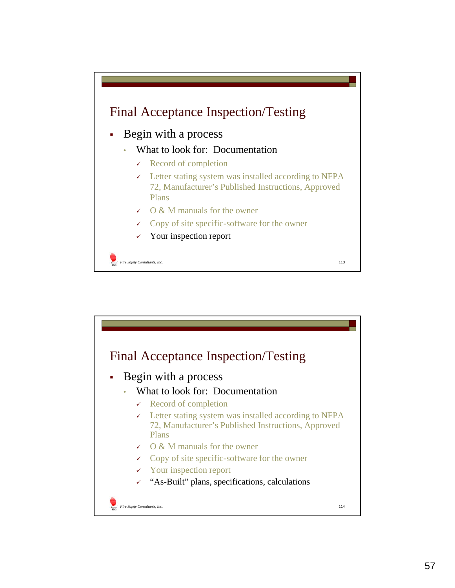![](_page_56_Figure_0.jpeg)

![](_page_56_Figure_1.jpeg)